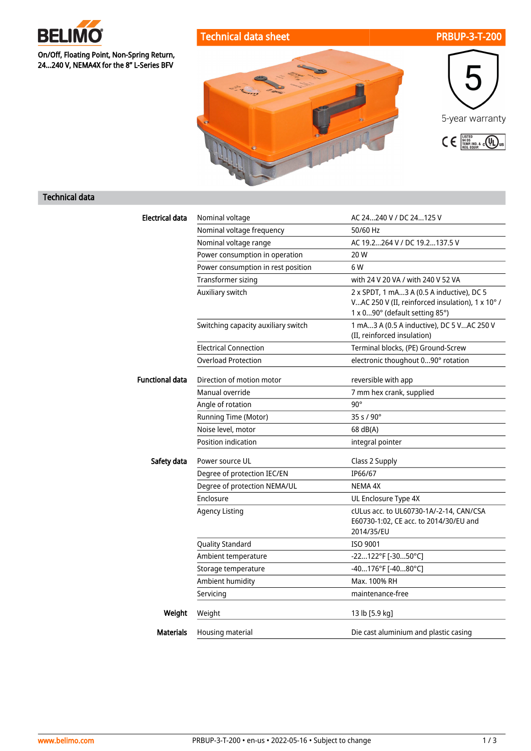

On/Off, Floating Point, Non-Spring Return, 24...240 V, NEMA4X for the 8" L-Series BFV





## Technical data

| Electrical data        | Nominal voltage                     | AC 24240 V / DC 24125 V                                                                                                         |
|------------------------|-------------------------------------|---------------------------------------------------------------------------------------------------------------------------------|
|                        | Nominal voltage frequency           | 50/60 Hz                                                                                                                        |
|                        | Nominal voltage range               | AC 19.2264 V / DC 19.2137.5 V                                                                                                   |
|                        | Power consumption in operation      | 20 W                                                                                                                            |
|                        | Power consumption in rest position  | 6 W                                                                                                                             |
|                        | Transformer sizing                  | with 24 V 20 VA / with 240 V 52 VA                                                                                              |
|                        | Auxiliary switch                    | 2 x SPDT, 1 mA3 A (0.5 A inductive), DC 5<br>VAC 250 V (II, reinforced insulation), 1 x 10° /<br>1 x 090° (default setting 85°) |
|                        | Switching capacity auxiliary switch | 1 mA3 A (0.5 A inductive), DC 5 VAC 250 V<br>(II, reinforced insulation)                                                        |
|                        | <b>Electrical Connection</b>        | Terminal blocks, (PE) Ground-Screw                                                                                              |
|                        | <b>Overload Protection</b>          | electronic thoughout 090° rotation                                                                                              |
| <b>Functional data</b> | Direction of motion motor           | reversible with app                                                                                                             |
|                        | Manual override                     | 7 mm hex crank, supplied                                                                                                        |
|                        | Angle of rotation                   | $90^\circ$                                                                                                                      |
|                        | Running Time (Motor)                | 35 s / 90°                                                                                                                      |
|                        | Noise level, motor                  | 68 dB(A)                                                                                                                        |
|                        | <b>Position indication</b>          | integral pointer                                                                                                                |
| Safety data            | Power source UL                     | Class 2 Supply                                                                                                                  |
|                        | Degree of protection IEC/EN         | IP66/67                                                                                                                         |
|                        | Degree of protection NEMA/UL        | NEMA 4X                                                                                                                         |
|                        | Enclosure                           | UL Enclosure Type 4X                                                                                                            |
|                        | <b>Agency Listing</b>               | cULus acc. to UL60730-1A/-2-14, CAN/CSA<br>E60730-1:02, CE acc. to 2014/30/EU and<br>2014/35/EU                                 |
|                        | <b>Quality Standard</b>             | ISO 9001                                                                                                                        |
|                        | Ambient temperature                 | -22122°F [-3050°C]                                                                                                              |
|                        | Storage temperature                 | $-40176$ °F [ $-4080$ °C]                                                                                                       |
|                        | Ambient humidity                    | Max. 100% RH                                                                                                                    |
|                        | Servicing                           | maintenance-free                                                                                                                |
| Weight                 | Weight                              | 13 lb [5.9 kg]                                                                                                                  |
| <b>Materials</b>       | Housing material                    | Die cast aluminium and plastic casing                                                                                           |
|                        |                                     |                                                                                                                                 |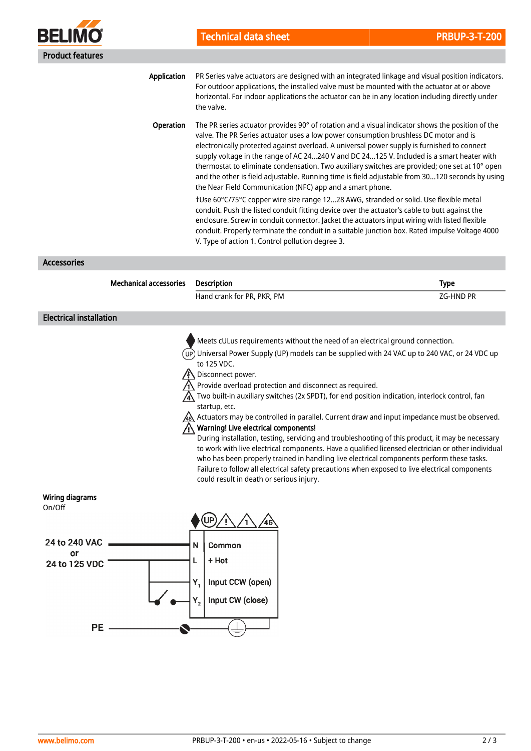

Application Operation PR Series valve actuators are designed with an integrated linkage and visual position indicators. For outdoor applications, the installed valve must be mounted with the actuator at or above horizontal. For indoor applications the actuator can be in any location including directly under the valve. The PR series actuator provides 90° of rotation and a visual indicator shows the position of the

valve. The PR Series actuator uses a low power consumption brushless DC motor and is electronically protected against overload. A universal power supply is furnished to connect supply voltage in the range of AC 24...240 V and DC 24...125 V. Included is a smart heater with thermostat to eliminate condensation. Two auxiliary switches are provided; one set at 10° open and the other is field adjustable. Running time is field adjustable from 30...120 seconds by using the Near Field Communication (NFC) app and a smart phone.

†Use 60°C/75°C copper wire size range 12...28 AWG, stranded or solid. Use flexible metal conduit. Push the listed conduit fitting device over the actuator's cable to butt against the enclosure. Screw in conduit connector. Jacket the actuators input wiring with listed flexible conduit. Properly terminate the conduit in a suitable junction box. Rated impulse Voltage 4000 V. Type of action 1. Control pollution degree 3.

Accessories

Mechanical accessories Description **Type Mechanical** accessories Description Hand crank for PR, PKR, PM  $ZG$ -HND PR Electrical installation Meets cULus requirements without the need of an electrical ground connection. Universal Power Supply (UP) models can be supplied with 24 VAC up to 240 VAC, or 24 VDC up (UP) to 125 VDC. Disconnect power. Provide overload protection and disconnect as required. A Two built-in auxiliary switches (2x SPDT), for end position indication, interlock control, fan startup, etc. Actuators may be controlled in parallel. Current draw and input impedance must be observed. Warning! Live electrical components! During installation, testing, servicing and troubleshooting of this product, it may be necessary to work with live electrical components. Have a qualified licensed electrician or other individual who has been properly trained in handling live electrical components perform these tasks. Failure to follow all electrical safety precautions when exposed to live electrical components could result in death or serious injury. Wiring diagrams On/Off